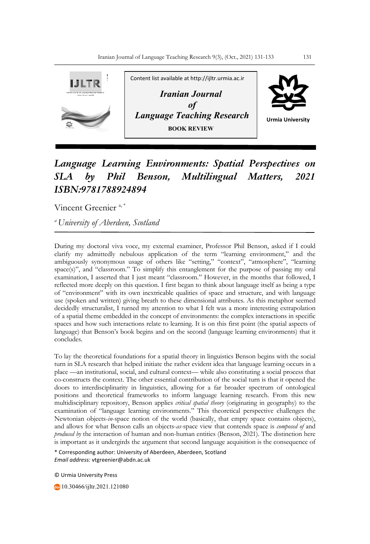

## *Language Learning Environments: Spatial Perspectives on SLA by Phil Benson, Multilingual Matters, 2021 ISBN:9781788924894*

Vincent Greenier<sup>a,\*</sup>

*a University of Aberdeen, Scotland*

During my doctoral viva voce, my external examiner, Professor Phil Benson, asked if I could clarify my admittedly nebulous application of the term "learning environment," and the ambiguously synonymous usage of others like "setting," "context", "atmosphere", "learning space(s)", and "classroom." To simplify this entanglement for the purpose of passing my oral examination, I asserted that I just meant "classroom." However, in the months that followed, I reflected more deeply on this question. I first began to think about language itself as being a type of "environment" with its own inextricable qualities of space and structure, and with language use (spoken and written) giving breath to these dimensional attributes. As this metaphor seemed decidedly structuralist, I turned my attention to what I felt was a more interesting extrapolation of a spatial theme embedded in the concept of environments: the complex interactions in specific spaces and how such interactions relate to learning. It is on this first point (the spatial aspects of language) that Benson's book begins and on the second (language learning environments) that it concludes.

To lay the theoretical foundations for a spatial theory in linguistics Benson begins with the social turn in SLA research that helped initiate the rather evident idea that language learning occurs in a place —an institutional, social, and cultural context— while also constituting a social process that co-constructs the context. The other essential contribution of the social turn is that it opened the doors to interdisciplinarity in linguistics, allowing for a far broader spectrum of ontological positions and theoretical frameworks to inform language learning research. From this new multidisciplinary repository, Benson applies *critical spatial theory* (originating in geography) to the examination of "language learning environments." This theoretical perspective challenges the Newtonian objects-*in*-space notion of the world (basically, that empty space contains objects), and allows for what Benson calls an objects-*as*-space view that contends space is *composed of* and *produced by* the interaction of human and non-human entities (Benson, 2021). The distinction here is important as it undergirds the argument that second language acquisition is the consequence of

\* Corresponding author: University of Aberdeen, Aberdeen, Scotland *Email address:* vtgreenier@abdn.ac.uk

© Urmia University Press

10.30466/ijltr.2021.121080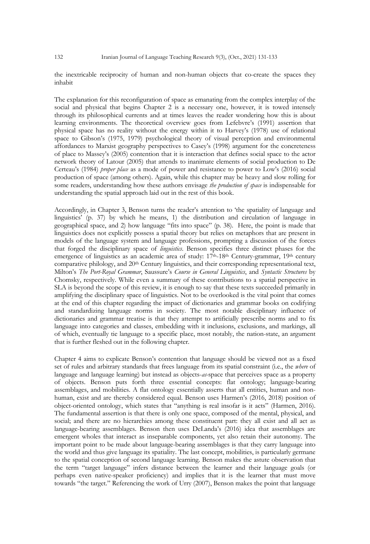the inextricable reciprocity of human and non-human objects that co-create the spaces they inhabit

The explanation for this reconfiguration of space as emanating from the complex interplay of the social and physical that begins Chapter 2 is a necessary one, however, it is towed intensely through its philosophical currents and at times leaves the reader wondering how this is about learning environments. The theoretical overview goes from Lefebvre's (1991) assertion that physical space has no reality without the energy within it to Harvey's (1978) use of relational space to Gibson's (1975, 1979) psychological theory of visual perception and environmental affordances to Marxist geography perspectives to Casey's (1998) argument for the concreteness of place to Massey's (2005) contention that it is interaction that defines social space to the actor network theory of Latour (2005) that attends to inanimate elements of social production to De Certeau's (1984) *proper place* as a mode of power and resistance to power to Low's (2016) social production of space (among others). Again, while this chapter may be heavy and slow rolling for some readers, understanding how these authors envisage *the production of space* is indispensable for understanding the spatial approach laid out in the rest of this book.

Accordingly, in Chapter 3, Benson turns the reader's attention to 'the spatiality of language and linguistics' (p. 37) by which he means, 1) the distribution and circulation of language in geographical space, and 2) how language "fits into space" (p. 38). Here, the point is made that linguistics does not explicitly possess a spatial theory but relies on metaphors that are present in models of the language system and language professions, prompting a discussion of the forces that forged the disciplinary space of *linguistics*. Benson specifies three distinct phases for the emergence of linguistics as an academic area of study: 17th-18th Century-grammar, 19th century comparative philology, and 20<sup>th</sup> Century linguistics, and their corresponding representational text, Milton's *The Port-Royal Grammar*, Saussure's *Course in General Linguistics*, and *Syntactic Structures* by Chomsky, respectively. While even a summary of these contributions to a spatial perspective in SLA is beyond the scope of this review, it is enough to say that these texts succeeded primarily in amplifying the disciplinary space of linguistics. Not to be overlooked is the vital point that comes at the end of this chapter regarding the impact of dictionaries and grammar books on codifying and standardizing language norms in society. The most notable disciplinary influence of dictionaries and grammar treatise is that they attempt to artificially prescribe norms and to fix language into categories and classes, embedding with it inclusions, exclusions, and markings, all of which, eventually tie language to a specific place, most notably, the nation-state, an argument that is further fleshed out in the following chapter.

Chapter 4 aims to explicate Benson's contention that language should be viewed not as a fixed set of rules and arbitrary standards that frees language from its spatial constraint (i.e., the *where* of language and language learning) but instead as objects-*as-*space that perceives space as a property of objects. Benson puts forth three essential concepts: flat ontology; language-bearing assemblages, and mobilities. A flat ontology essentially asserts that all entities, human and nonhuman, exist and are thereby considered equal. Benson uses Harmen's (2016, 2018) position of object-oriented ontology, which states that "anything is real insofar is it acts" (Harmen, 2016). The fundamental assertion is that there is only one space, composed of the mental, physical, and social; and there are no hierarchies among these constituent part: they all exist and all act as language-bearing assemblages. Benson then uses DeLanda's (2016) idea that assemblages are emergent wholes that interact as inseparable components, yet also retain their autonomy. The important point to be made about language-bearing assemblages is that they carry language into the world and thus give language its spatiality. The last concept, mobilities, is particularly germane to the spatial conception of second language learning. Benson makes the astute observation that the term "target language" infers distance between the learner and their language goals (or perhaps even native-speaker proficiency) and implies that it is the learner that must move towards "the target." Referencing the work of Urry (2007), Benson makes the point that language